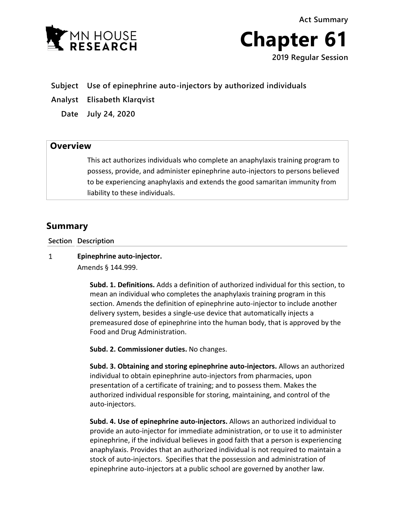



- **Subject Use of epinephrine auto-injectors by authorized individuals**
- **Analyst Elisabeth Klarqvist**

**Date July 24, 2020**

## **Overview**

This act authorizes individuals who complete an anaphylaxis training program to possess, provide, and administer epinephrine auto-injectors to persons believed to be experiencing anaphylaxis and extends the good samaritan immunity from liability to these individuals.

# **Summary**

### **Section Description**

#### $\mathbf{1}$ **Epinephrine auto-injector.**

Amends § 144.999.

**Subd. 1. Definitions.** Adds a definition of authorized individual for this section, to mean an individual who completes the anaphylaxis training program in this section. Amends the definition of epinephrine auto-injector to include another delivery system, besides a single-use device that automatically injects a premeasured dose of epinephrine into the human body, that is approved by the Food and Drug Administration.

**Subd. 2. Commissioner duties.** No changes.

**Subd. 3. Obtaining and storing epinephrine auto-injectors.** Allows an authorized individual to obtain epinephrine auto-injectors from pharmacies, upon presentation of a certificate of training; and to possess them. Makes the authorized individual responsible for storing, maintaining, and control of the auto-injectors.

**Subd. 4. Use of epinephrine auto-injectors.** Allows an authorized individual to provide an auto-injector for immediate administration, or to use it to administer epinephrine, if the individual believes in good faith that a person is experiencing anaphylaxis. Provides that an authorized individual is not required to maintain a stock of auto-injectors. Specifies that the possession and administration of epinephrine auto-injectors at a public school are governed by another law.